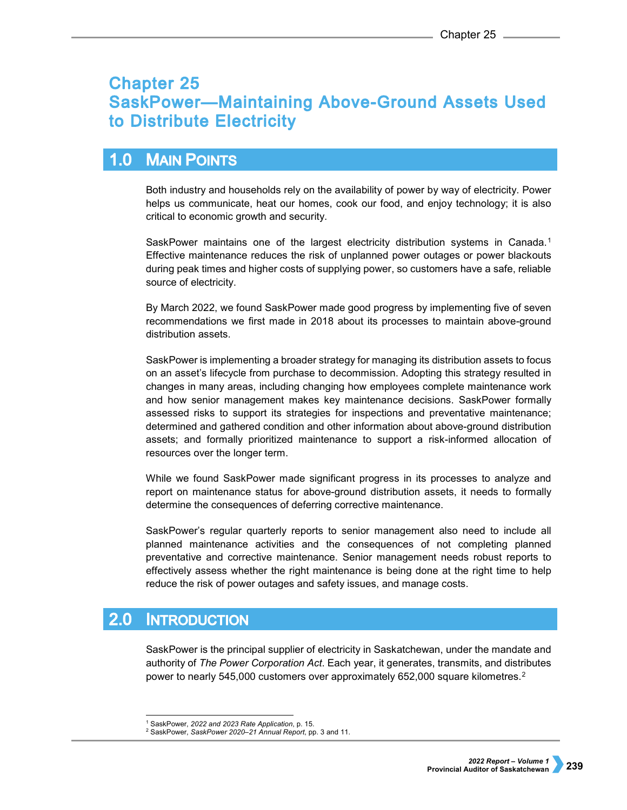# **Chapter 25 SaskPower-Maintaining Above-Ground Assets Used** to Distribute Electricity

#### $1.0$ **MAIN POINTS**

Both industry and households rely on the availability of power by way of electricity. Power helps us communicate, heat our homes, cook our food, and enjoy technology; it is also critical to economic growth and security.

SaskPower maintains one of the largest electricity distribution systems in Canada.<sup>[1](#page-0-0)</sup> Effective maintenance reduces the risk of unplanned power outages or power blackouts during peak times and higher costs of supplying power, so customers have a safe, reliable source of electricity.

By March 2022, we found SaskPower made good progress by implementing five of seven recommendations we first made in 2018 about its processes to maintain above-ground distribution assets.

SaskPower is implementing a broader strategy for managing its distribution assets to focus on an asset's lifecycle from purchase to decommission. Adopting this strategy resulted in changes in many areas, including changing how employees complete maintenance work and how senior management makes key maintenance decisions. SaskPower formally assessed risks to support its strategies for inspections and preventative maintenance; determined and gathered condition and other information about above-ground distribution assets; and formally prioritized maintenance to support a risk-informed allocation of resources over the longer term.

While we found SaskPower made significant progress in its processes to analyze and report on maintenance status for above-ground distribution assets, it needs to formally determine the consequences of deferring corrective maintenance.

SaskPower's regular quarterly reports to senior management also need to include all planned maintenance activities and the consequences of not completing planned preventative and corrective maintenance. Senior management needs robust reports to effectively assess whether the right maintenance is being done at the right time to help reduce the risk of power outages and safety issues, and manage costs.

#### $2.0$ **INTRODUCTION**

SaskPower is the principal supplier of electricity in Saskatchewan, under the mandate and authority of *The Power Corporation Act*. Each year, it generates, transmits, and distributes power to nearly 545,000 customers over approximately 652,000 square kilometres.[2](#page-0-1)

<span id="page-0-0"></span> <sup>1</sup> SaskPower, *2022 and 2023 Rate Application*, p. 15.

<span id="page-0-1"></span><sup>2</sup> SaskPower, *SaskPower 2020–21 Annual Report*, pp. 3 and 11.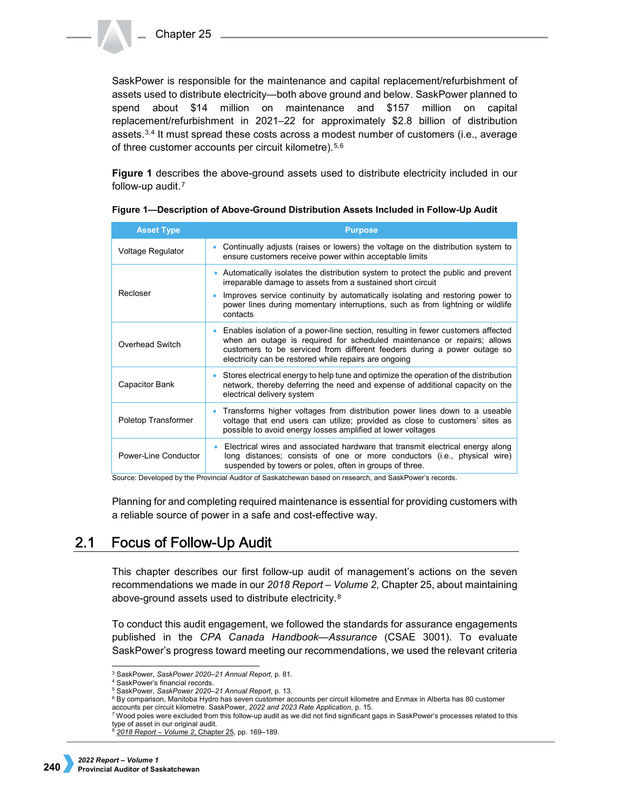SaskPower is responsible for the maintenance and capital replacement/refurbishment of assets used to distribute electricity—both above ground and below. SaskPower planned to spend about \$14 million on maintenance and \$157 million on capital replacement/refurbishment in 2021–22 for approximately \$2.8 billion of distribution assets.[3](#page-1-0),[4](#page-1-1) It must spread these costs across a modest number of customers (i.e., average of three customer accounts per circuit kilometre).[5,](#page-1-2)[6](#page-1-3)

**Figure 1** describes the above-ground assets used to distribute electricity included in our follow-up audit.[7](#page-1-4)

| <b>Asset Type</b>    | <b>Purpose</b>                                                                                                                                                                                                                                                                                                                                                                                                                                                                                                            |
|----------------------|---------------------------------------------------------------------------------------------------------------------------------------------------------------------------------------------------------------------------------------------------------------------------------------------------------------------------------------------------------------------------------------------------------------------------------------------------------------------------------------------------------------------------|
| Voltage Regulator    | Continually adjusts (raises or lowers) the voltage on the distribution system to<br>ensure customers receive power within acceptable limits                                                                                                                                                                                                                                                                                                                                                                               |
| Recloser             | Automatically isolates the distribution system to protect the public and prevent<br>$\bullet$<br>irreparable damage to assets from a sustained short circuit<br>Improves service continuity by automatically isolating and restoring power to<br>power lines during momentary interruptions, such as from lightning or wildlife<br>contacts                                                                                                                                                                               |
| Overhead Switch      | Enables isolation of a power-line section, resulting in fewer customers affected<br>when an outage is required for scheduled maintenance or repairs; allows<br>customers to be serviced from different feeders during a power outage so<br>electricity can be restored while repairs are ongoing                                                                                                                                                                                                                          |
| Capacitor Bank       | Stores electrical energy to help tune and optimize the operation of the distribution<br>network, thereby deferring the need and expense of additional capacity on the<br>electrical delivery system                                                                                                                                                                                                                                                                                                                       |
| Poletop Transformer  | • Transforms higher voltages from distribution power lines down to a useable<br>voltage that end users can utilize; provided as close to customers' sites as<br>possible to avoid energy losses amplified at lower voltages                                                                                                                                                                                                                                                                                               |
| Power-Line Conductor | Electrical wires and associated hardware that transmit electrical energy along<br>long distances; consists of one or more conductors (i.e., physical wire)<br>suspended by towers or poles, often in groups of three.<br>$\mathbf{a}$ and $\mathbf{b}$ and $\mathbf{c}$ and $\mathbf{c}$ and $\mathbf{c}$ and $\mathbf{c}$ and $\mathbf{c}$ and $\mathbf{c}$ and $\mathbf{c}$ and $\mathbf{c}$ and $\mathbf{c}$ and $\mathbf{c}$ and $\mathbf{c}$ and $\mathbf{c}$ and $\mathbf{c}$ and $\mathbf{c}$ and $\mathbf{c}$ and |

**Figure 1—Description of Above-Ground Distribution Assets Included in Follow-Up Audit**

Source: Developed by the Provincial Auditor of Saskatchewan based on research, and SaskPower's records.

Planning for and completing required maintenance is essential for providing customers with a reliable source of power in a safe and cost-effective way.

#### $2.1$ **Focus of Follow-Up Audit**

This chapter describes our first follow-up audit of management's actions on the seven recommendations we made in our *2018 Report – Volume 2*, Chapter 25, about maintaining above-ground assets used to distribute electricity.[8](#page-1-5)

To conduct this audit engagement, we followed the standards for assurance engagements published in the *CPA Canada Handbook—Assurance* (CSAE 3001). To evaluate SaskPower's progress toward meeting our recommendations, we used the relevant criteria

 <sup>3</sup> SaskPower, *SaskPower 2020–21 Annual Report*, p. 81.

<span id="page-1-0"></span><sup>4</sup> SaskPower's financial records.

<sup>5</sup> SaskPower, *SaskPower 2020–21 Annual Report*, p. 13.

<span id="page-1-3"></span><span id="page-1-2"></span><span id="page-1-1"></span> $6$  By comparison, Manitoba Hydro has seven customer accounts per circuit kilometre and Enmax in Alberta has 80 customer accounts per circuit kilometre. SaskPower, 2022 and 2023 Rate Application, p. 15.

<span id="page-1-5"></span><span id="page-1-4"></span><sup>&</sup>lt;sup>7</sup> Wood poles were excluded from this follow-up audit as we did not find significant gaps in SaskPower's processes related to this type of asset in our original audit.

<sup>8</sup> *[2018 Report – Volume 2](https://auditor.sk.ca/pub/publications/public_reports/2018/Volume_2/CH%2025%20-%20SaskPower%E2%80%94Maintaining%20Above-Ground%20Distribution%20Assets.pdf)*, Chapter 25, pp. 169–189.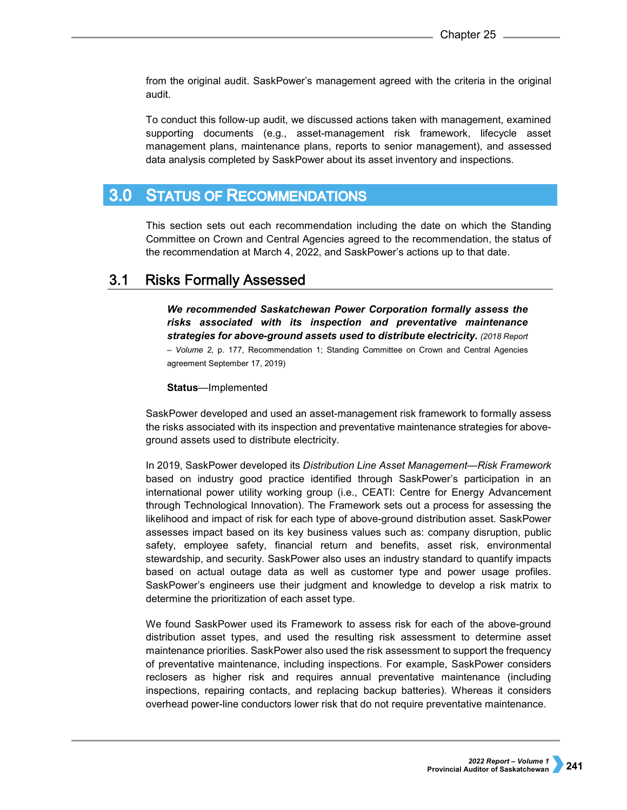from the original audit. SaskPower's management agreed with the criteria in the original audit.

To conduct this follow-up audit, we discussed actions taken with management, examined supporting documents (e.g., asset-management risk framework, lifecycle asset management plans, maintenance plans, reports to senior management), and assessed data analysis completed by SaskPower about its asset inventory and inspections.

#### $3.0<sub>1</sub>$ **STATUS OF RECOMMENDATIONS**

This section sets out each recommendation including the date on which the Standing Committee on Crown and Central Agencies agreed to the recommendation, the status of the recommendation at March 4, 2022, and SaskPower's actions up to that date.

#### $3.1$ **Risks Formally Assessed**

*We recommended Saskatchewan Power Corporation formally assess the risks associated with its inspection and preventative maintenance strategies for above-ground assets used to distribute electricity. (2018 Report – Volume 2,* p. 177, Recommendation 1; Standing Committee on Crown and Central Agencies agreement September 17, 2019)

### **Status**—Implemented

SaskPower developed and used an asset-management risk framework to formally assess the risks associated with its inspection and preventative maintenance strategies for aboveground assets used to distribute electricity.

In 2019, SaskPower developed its *Distribution Line Asset Management—Risk Framework* based on industry good practice identified through SaskPower's participation in an international power utility working group (i.e., CEATI: Centre for Energy Advancement through Technological Innovation). The Framework sets out a process for assessing the likelihood and impact of risk for each type of above-ground distribution asset. SaskPower assesses impact based on its key business values such as: company disruption, public safety, employee safety, financial return and benefits, asset risk, environmental stewardship, and security. SaskPower also uses an industry standard to quantify impacts based on actual outage data as well as customer type and power usage profiles. SaskPower's engineers use their judgment and knowledge to develop a risk matrix to determine the prioritization of each asset type.

We found SaskPower used its Framework to assess risk for each of the above-ground distribution asset types, and used the resulting risk assessment to determine asset maintenance priorities. SaskPower also used the risk assessment to support the frequency of preventative maintenance, including inspections. For example, SaskPower considers reclosers as higher risk and requires annual preventative maintenance (including inspections, repairing contacts, and replacing backup batteries). Whereas it considers overhead power-line conductors lower risk that do not require preventative maintenance.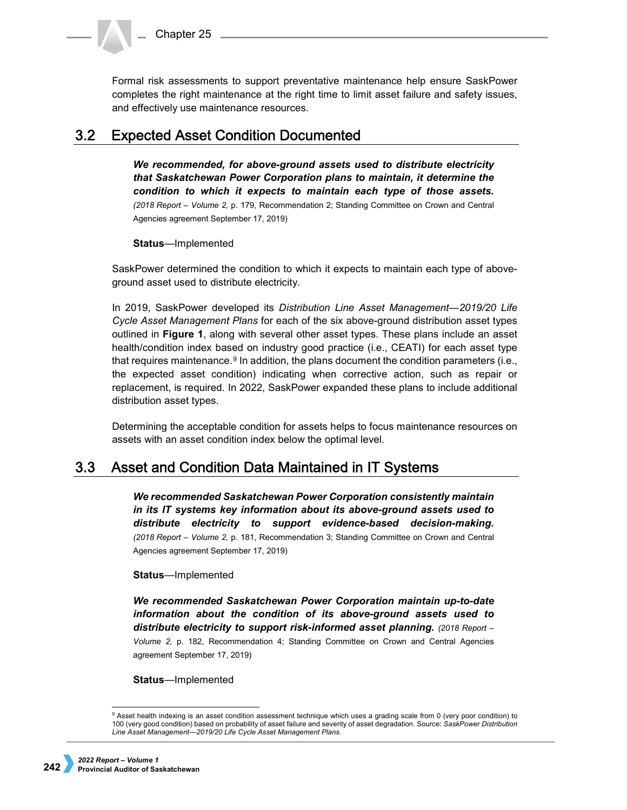Formal risk assessments to support preventative maintenance help ensure SaskPower completes the right maintenance at the right time to limit asset failure and safety issues, and effectively use maintenance resources.

#### $3.2$ **Expected Asset Condition Documented**

*We recommended, for above-ground assets used to distribute electricity that Saskatchewan Power Corporation plans to maintain, it determine the condition to which it expects to maintain each type of those assets. (2018 Report – Volume 2,* p. 179, Recommendation 2; Standing Committee on Crown and Central Agencies agreement September 17, 2019)

### **Status**—Implemented

SaskPower determined the condition to which it expects to maintain each type of aboveground asset used to distribute electricity.

In 2019, SaskPower developed its *Distribution Line Asset Management—2019/20 Life Cycle Asset Management Plans* for each of the six above-ground distribution asset types outlined in **Figure 1**, along with several other asset types. These plans include an asset health/condition index based on industry good practice (i.e., CEATI) for each asset type that requires maintenance.<sup>[9](#page-3-0)</sup> In addition, the plans document the condition parameters (i.e., the expected asset condition) indicating when corrective action, such as repair or replacement, is required. In 2022, SaskPower expanded these plans to include additional distribution asset types.

Determining the acceptable condition for assets helps to focus maintenance resources on assets with an asset condition index below the optimal level.

#### $3.3$ Asset and Condition Data Maintained in IT Systems

*We recommended Saskatchewan Power Corporation consistently maintain in its IT systems key information about its above-ground assets used to distribute electricity to support evidence-based decision-making. (2018 Report – Volume 2,* p. 181, Recommendation 3; Standing Committee on Crown and Central Agencies agreement September 17, 2019)

### **Status**—Implemented

*We recommended Saskatchewan Power Corporation maintain up-to-date information about the condition of its above-ground assets used to distribute electricity to support risk-informed asset planning. (2018 Report – Volume 2,* p. 182, Recommendation 4; Standing Committee on Crown and Central Agencies agreement September 17, 2019)

**Status**—Implemented

<span id="page-3-0"></span> <sup>9</sup> Asset health indexing is an asset condition assessment technique which uses a grading scale from 0 (very poor condition) to 100 (very good condition) based on probability of asset failure and severity of asset degradation. Source: *SaskPower Distribution Line Asset Management—2019/20 Life Cycle Asset Management Plans*.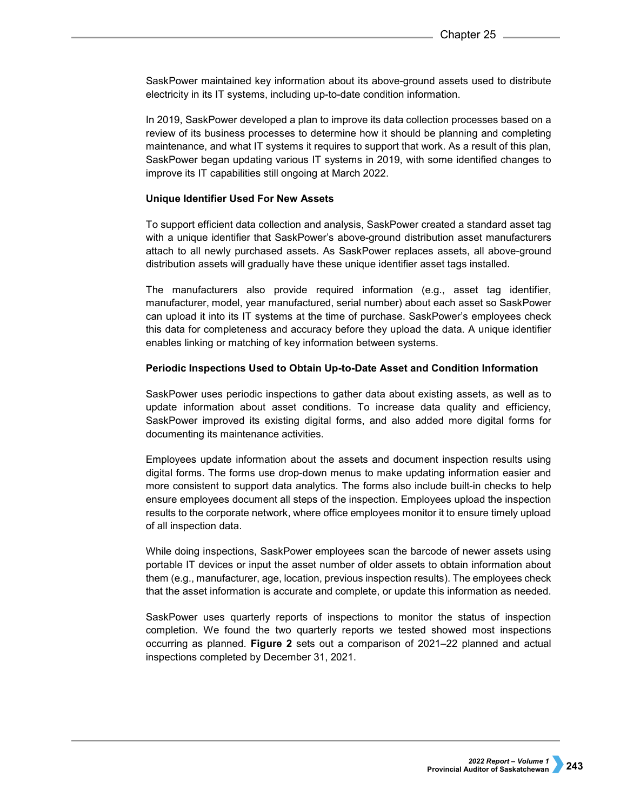SaskPower maintained key information about its above-ground assets used to distribute electricity in its IT systems, including up-to-date condition information.

In 2019, SaskPower developed a plan to improve its data collection processes based on a review of its business processes to determine how it should be planning and completing maintenance, and what IT systems it requires to support that work. As a result of this plan, SaskPower began updating various IT systems in 2019, with some identified changes to improve its IT capabilities still ongoing at March 2022.

### **Unique Identifier Used For New Assets**

To support efficient data collection and analysis, SaskPower created a standard asset tag with a unique identifier that SaskPower's above-ground distribution asset manufacturers attach to all newly purchased assets. As SaskPower replaces assets, all above-ground distribution assets will gradually have these unique identifier asset tags installed.

The manufacturers also provide required information (e.g., asset tag identifier, manufacturer, model, year manufactured, serial number) about each asset so SaskPower can upload it into its IT systems at the time of purchase. SaskPower's employees check this data for completeness and accuracy before they upload the data. A unique identifier enables linking or matching of key information between systems.

### **Periodic Inspections Used to Obtain Up-to-Date Asset and Condition Information**

SaskPower uses periodic inspections to gather data about existing assets, as well as to update information about asset conditions. To increase data quality and efficiency, SaskPower improved its existing digital forms, and also added more digital forms for documenting its maintenance activities.

Employees update information about the assets and document inspection results using digital forms. The forms use drop-down menus to make updating information easier and more consistent to support data analytics. The forms also include built-in checks to help ensure employees document all steps of the inspection. Employees upload the inspection results to the corporate network, where office employees monitor it to ensure timely upload of all inspection data.

While doing inspections, SaskPower employees scan the barcode of newer assets using portable IT devices or input the asset number of older assets to obtain information about them (e.g., manufacturer, age, location, previous inspection results). The employees check that the asset information is accurate and complete, or update this information as needed.

SaskPower uses quarterly reports of inspections to monitor the status of inspection completion. We found the two quarterly reports we tested showed most inspections occurring as planned. **Figure 2** sets out a comparison of 2021–22 planned and actual inspections completed by December 31, 2021.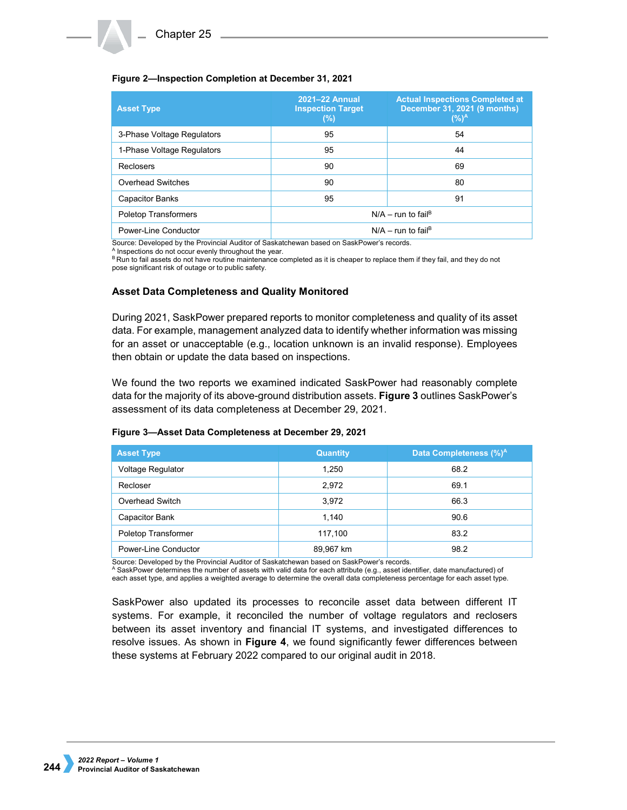### **Figure 2—Inspection Completion at December 31, 2021**

| <b>Asset Type</b>           | 2021-22 Annual<br><b>Inspection Target</b><br>$(\%)$ | <b>Actual Inspections Completed at</b><br>December 31, 2021 (9 months)<br>$(%)^A$ |  |  |
|-----------------------------|------------------------------------------------------|-----------------------------------------------------------------------------------|--|--|
| 3-Phase Voltage Regulators  | 95                                                   | 54                                                                                |  |  |
| 1-Phase Voltage Regulators  | 95                                                   | 44                                                                                |  |  |
| <b>Reclosers</b>            | 90                                                   | 69                                                                                |  |  |
| Overhead Switches           | 90                                                   | 80                                                                                |  |  |
| <b>Capacitor Banks</b>      | 95                                                   | 91                                                                                |  |  |
| <b>Poletop Transformers</b> | $N/A - run to failB$                                 |                                                                                   |  |  |
| Power-Line Conductor        |                                                      | $N/A - run$ to fail <sup>B</sup>                                                  |  |  |

Source: Developed by the Provincial Auditor of Saskatchewan based on SaskPower's records.<br>A Inspections do not occur evenly throughout the year.

<sup>B</sup> Run to fail assets do not have routine maintenance completed as it is cheaper to replace them if they fail, and they do not pose significant risk of outage or to public safety.

### **Asset Data Completeness and Quality Monitored**

During 2021, SaskPower prepared reports to monitor completeness and quality of its asset data. For example, management analyzed data to identify whether information was missing for an asset or unacceptable (e.g., location unknown is an invalid response). Employees then obtain or update the data based on inspections.

We found the two reports we examined indicated SaskPower had reasonably complete data for the majority of its above-ground distribution assets. **Figure 3** outlines SaskPower's assessment of its data completeness at December 29, 2021.

| $\frac{1}{2}$ , $\frac{1}{2}$ , $\frac{1}{2}$ , $\frac{1}{2}$ , $\frac{1}{2}$ , $\frac{1}{2}$ , $\frac{1}{2}$ , $\frac{1}{2}$ , $\frac{1}{2}$ , $\frac{1}{2}$ , $\frac{1}{2}$ , $\frac{1}{2}$ , $\frac{1}{2}$ , $\frac{1}{2}$ , $\frac{1}{2}$ , $\frac{1}{2}$ , $\frac{1}{2}$ , $\frac{1}{2}$ , $\frac{1$ |                 |                                    |  |  |  |  |
|-----------------------------------------------------------------------------------------------------------------------------------------------------------------------------------------------------------------------------------------------------------------------------------------------------------|-----------------|------------------------------------|--|--|--|--|
| <b>Asset Type</b>                                                                                                                                                                                                                                                                                         | <b>Quantity</b> | Data Completeness (%) <sup>A</sup> |  |  |  |  |
| Voltage Regulator                                                                                                                                                                                                                                                                                         | 1,250           | 68.2                               |  |  |  |  |
| Recloser                                                                                                                                                                                                                                                                                                  | 2,972           | 69.1                               |  |  |  |  |
| Overhead Switch                                                                                                                                                                                                                                                                                           | 3,972           | 66.3                               |  |  |  |  |
| <b>Capacitor Bank</b>                                                                                                                                                                                                                                                                                     | 1.140           | 90.6                               |  |  |  |  |

Poletop Transformer and the contract of the 117,100 and the 117,100 and the 83.2 Power-Line Conductor **89,967 km** 89,967 km 88.2

### **Figure 3—Asset Data Completeness at December 29, 2021**

Source: Developed by the Provincial Auditor of Saskatchewan based on SaskPower's records.

<sup>A</sup> SaskPower determines the number of assets with valid data for each attribute (e.g., asset identifier, date manufactured) of each asset type, and applies a weighted average to determine the overall data completeness percentage for each asset type.

SaskPower also updated its processes to reconcile asset data between different IT systems. For example, it reconciled the number of voltage regulators and reclosers between its asset inventory and financial IT systems, and investigated differences to resolve issues. As shown in **Figure 4**, we found significantly fewer differences between these systems at February 2022 compared to our original audit in 2018.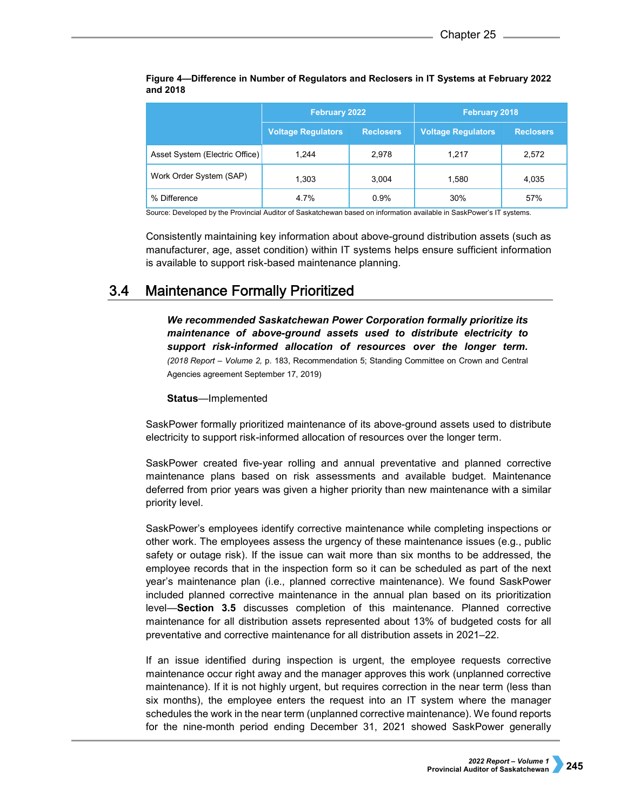|                                | <b>February 2022</b>      |                  | <b>February 2018</b>      |                  |
|--------------------------------|---------------------------|------------------|---------------------------|------------------|
|                                | <b>Voltage Regulators</b> | <b>Reclosers</b> | <b>Voltage Regulators</b> | <b>Reclosers</b> |
| Asset System (Electric Office) | 1.244                     | 2,978            | 1.217                     | 2.572            |
| Work Order System (SAP)        | 1.303                     | 3,004            | 1,580                     | 4,035            |
| % Difference                   | 4.7%                      | 0.9%             | 30%                       | 57%              |

**Figure 4—Difference in Number of Regulators and Reclosers in IT Systems at February 2022 and 2018**

Source: Developed by the Provincial Auditor of Saskatchewan based on information available in SaskPower's IT systems.

Consistently maintaining key information about above-ground distribution assets (such as manufacturer, age, asset condition) within IT systems helps ensure sufficient information is available to support risk-based maintenance planning.

#### $3.4$ **Maintenance Formally Prioritized**

*We recommended Saskatchewan Power Corporation formally prioritize its maintenance of above-ground assets used to distribute electricity to support risk-informed allocation of resources over the longer term. (2018 Report – Volume 2,* p. 183, Recommendation 5; Standing Committee on Crown and Central Agencies agreement September 17, 2019)

### **Status**—Implemented

SaskPower formally prioritized maintenance of its above-ground assets used to distribute electricity to support risk-informed allocation of resources over the longer term.

SaskPower created five-year rolling and annual preventative and planned corrective maintenance plans based on risk assessments and available budget. Maintenance deferred from prior years was given a higher priority than new maintenance with a similar priority level.

SaskPower's employees identify corrective maintenance while completing inspections or other work. The employees assess the urgency of these maintenance issues (e.g., public safety or outage risk). If the issue can wait more than six months to be addressed, the employee records that in the inspection form so it can be scheduled as part of the next year's maintenance plan (i.e., planned corrective maintenance). We found SaskPower included planned corrective maintenance in the annual plan based on its prioritization level—**Section 3.5** discusses completion of this maintenance. Planned corrective maintenance for all distribution assets represented about 13% of budgeted costs for all preventative and corrective maintenance for all distribution assets in 2021–22.

If an issue identified during inspection is urgent, the employee requests corrective maintenance occur right away and the manager approves this work (unplanned corrective maintenance). If it is not highly urgent, but requires correction in the near term (less than six months), the employee enters the request into an IT system where the manager schedules the work in the near term (unplanned corrective maintenance). We found reports for the nine-month period ending December 31, 2021 showed SaskPower generally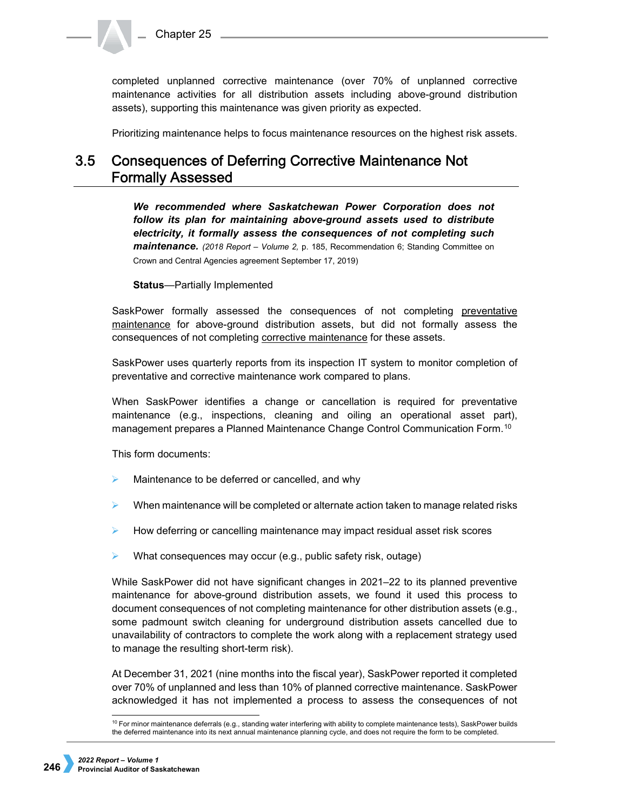completed unplanned corrective maintenance (over 70% of unplanned corrective maintenance activities for all distribution assets including above-ground distribution assets), supporting this maintenance was given priority as expected.

Prioritizing maintenance helps to focus maintenance resources on the highest risk assets.

## 3.5 Consequences of Deferring Corrective Maintenance Not **Formally Assessed**

*We recommended where Saskatchewan Power Corporation does not follow its plan for maintaining above-ground assets used to distribute electricity, it formally assess the consequences of not completing such maintenance. (2018 Report – Volume 2,* p. 185, Recommendation 6; Standing Committee on Crown and Central Agencies agreement September 17, 2019)

**Status**—Partially Implemented

SaskPower formally assessed the consequences of not completing preventative maintenance for above-ground distribution assets, but did not formally assess the consequences of not completing corrective maintenance for these assets.

SaskPower uses quarterly reports from its inspection IT system to monitor completion of preventative and corrective maintenance work compared to plans.

When SaskPower identifies a change or cancellation is required for preventative maintenance (e.g., inspections, cleaning and oiling an operational asset part), management prepares a Planned Maintenance Change Control Communication Form.[10](#page-7-0) 

This form documents:

- Maintenance to be deferred or cancelled, and why
- When maintenance will be completed or alternate action taken to manage related risks
- $\blacktriangleright$  How deferring or cancelling maintenance may impact residual asset risk scores
- What consequences may occur (e.g., public safety risk, outage)

While SaskPower did not have significant changes in 2021–22 to its planned preventive maintenance for above-ground distribution assets, we found it used this process to document consequences of not completing maintenance for other distribution assets (e.g., some padmount switch cleaning for underground distribution assets cancelled due to unavailability of contractors to complete the work along with a replacement strategy used to manage the resulting short-term risk).

At December 31, 2021 (nine months into the fiscal year), SaskPower reported it completed over 70% of unplanned and less than 10% of planned corrective maintenance. SaskPower acknowledged it has not implemented a process to assess the consequences of not

<span id="page-7-0"></span> <sup>10</sup> For minor maintenance deferrals (e.g., standing water interfering with ability to complete maintenance tests), SaskPower builds the deferred maintenance into its next annual maintenance planning cycle, and does not require the form to be completed.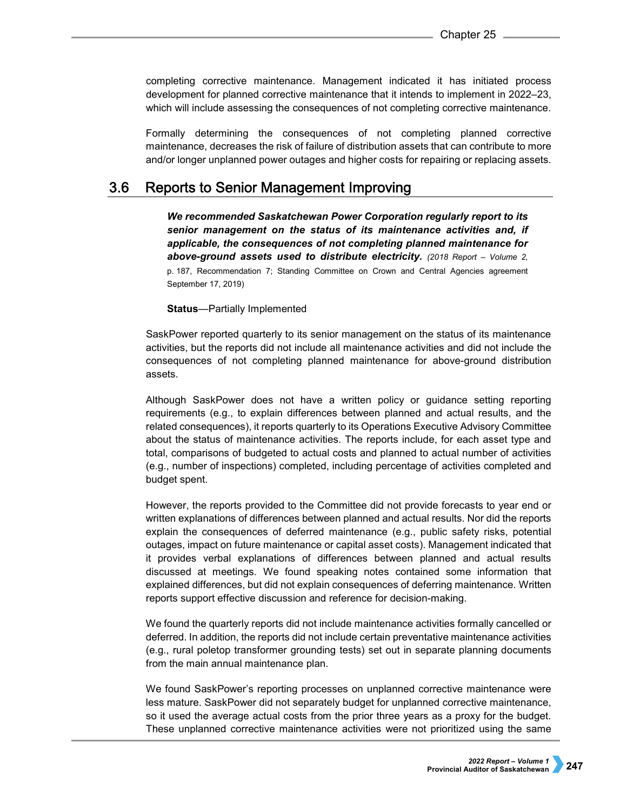completing corrective maintenance. Management indicated it has initiated process development for planned corrective maintenance that it intends to implement in 2022–23, which will include assessing the consequences of not completing corrective maintenance.

Formally determining the consequences of not completing planned corrective maintenance, decreases the risk of failure of distribution assets that can contribute to more and/or longer unplanned power outages and higher costs for repairing or replacing assets.

#### $3.6$ Reports to Senior Management Improving

*We recommended Saskatchewan Power Corporation regularly report to its senior management on the status of its maintenance activities and, if applicable, the consequences of not completing planned maintenance for above-ground assets used to distribute electricity. (2018 Report – Volume 2,*  p. 187, Recommendation 7; Standing Committee on Crown and Central Agencies agreement September 17, 2019)

**Status**—Partially Implemented

SaskPower reported quarterly to its senior management on the status of its maintenance activities, but the reports did not include all maintenance activities and did not include the consequences of not completing planned maintenance for above-ground distribution assets.

Although SaskPower does not have a written policy or guidance setting reporting requirements (e.g., to explain differences between planned and actual results, and the related consequences), it reports quarterly to its Operations Executive Advisory Committee about the status of maintenance activities. The reports include, for each asset type and total, comparisons of budgeted to actual costs and planned to actual number of activities (e.g., number of inspections) completed, including percentage of activities completed and budget spent.

However, the reports provided to the Committee did not provide forecasts to year end or written explanations of differences between planned and actual results. Nor did the reports explain the consequences of deferred maintenance (e.g., public safety risks, potential outages, impact on future maintenance or capital asset costs). Management indicated that it provides verbal explanations of differences between planned and actual results discussed at meetings. We found speaking notes contained some information that explained differences, but did not explain consequences of deferring maintenance. Written reports support effective discussion and reference for decision-making.

We found the quarterly reports did not include maintenance activities formally cancelled or deferred. In addition, the reports did not include certain preventative maintenance activities (e.g., rural poletop transformer grounding tests) set out in separate planning documents from the main annual maintenance plan.

We found SaskPower's reporting processes on unplanned corrective maintenance were less mature. SaskPower did not separately budget for unplanned corrective maintenance, so it used the average actual costs from the prior three years as a proxy for the budget. These unplanned corrective maintenance activities were not prioritized using the same